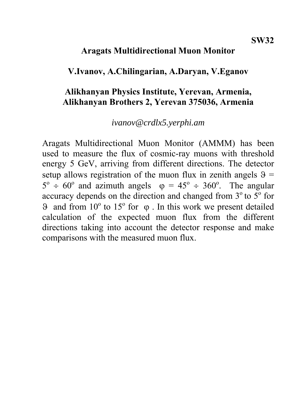## **Aragats Multidirectional Muon Monitor**

## **V.Ivanov, A.Chilingarian, A.Daryan, V.Eganov**

## **Alikhanyan Physics Institute, Yerevan, Armenia, Alikhanyan Brothers 2, Yerevan 375036, Armenia**

### *ivanov@crdlx5.yerphi.am*

Aragats Multidirectional Muon Monitor (AMMM) has been used to measure the flux of cosmic-ray muons with threshold energy 5 GeV, arriving from different directions. The detector setup allows registration of the muon flux in zenith angels  $\theta$  =  $5^{\circ} \div 60^{\circ}$  and azimuth angels  $\varphi = 45^{\circ} \div 360^{\circ}$ . The angular accuracy depends on the direction and changed from  $3^\circ$  to  $5^\circ$  for  $\theta$  and from 10<sup>°</sup> to 15<sup>°</sup> for φ. In this work we present detailed calculation of the expected muon flux from the different directions taking into account the detector response and make comparisons with the measured muon flux.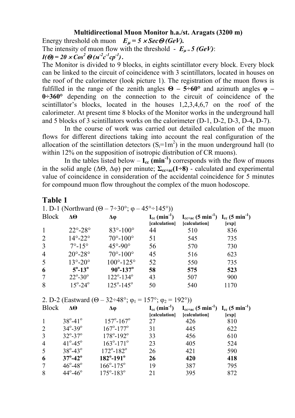#### **Multidirectional Muon Monitor h.a./st. Aragats (3200 m)**

Energy threshold oh muon  $E_{\mu} = 5 \times \text{Sec} \Theta(\text{GeV})$ .

The intensity of muon flow with the threshold -  $E_{\mu} = 5$  (GeV):

 $I(\Theta) = 20 \times Cos^2 \Theta (m^2c^2cp^2)$ .

The Monitor is divided to 9 blocks, in eights scintillator every block. Every block can be linked to the circuit of coincidence with 3 scintillators, located in houses on the roof of the calorimeter (look picture 1). The registration of the muon flows is fulfilled in the range of the zenith angles  $\Theta$  –  $5 \div 60^\circ$  and azimuth angles  $\phi$  – **0÷360°** depending on the connection to the circuit of coincidence of the scintillator's blocks, located in the houses 1,2,3,4,6,7 on the roof of the calorimeter. At present time 8 blocks of the Monitor works in the underground hall and 5 blocks of 3 scintillators works on the calorimeter (D-1, D-2, D-3, D-4, D-7).

In the course of work was carried out detailed calculation of the muon flows for different directions taking into account the real configuration of the allocation of the scintillation detectors  $(S_i=1m^2)$  in the muon underground hall (to within 12% on the supposition of isotropic distribution of CR muons).

In the tables listed below  $- I_{cc}$  (min<sup>-1</sup>) corresponds with the flow of muons in the solid angle ( $\Delta\Theta$ ,  $\Delta\phi$ ) per minute;  $\Sigma_{\text{c}t-ac}(1\div 8)$  - calculated and experimental value of coincidence in consideration of the accidental coincidence for 5 minutes for compound muon flow throughout the complex of the muon hodoscope.

### **Table 1**

| 1. D-1 (Northward $(\Theta - 7 \div 30^{\circ}; \varphi - 45^{\circ} \div 145^{\circ})$ )      |                             |                             |                                                |                                                                                      |            |  |
|------------------------------------------------------------------------------------------------|-----------------------------|-----------------------------|------------------------------------------------|--------------------------------------------------------------------------------------|------------|--|
| <b>Block</b>                                                                                   | $\Delta\Theta$              | Δφ                          | $I_{cc}$ (min <sup>-1</sup> )<br>[calculation] | $I_{cct+ac}$ (5 min <sup>-1</sup> ) $I_{cc}$ (5 min <sup>-1</sup> )<br>[calculation] | [exp]      |  |
| $\mathbf{1}$                                                                                   | $22^{\circ} - 28^{\circ}$   | $83^{\circ} - 100^{\circ}$  | 44                                             | 510                                                                                  | 836        |  |
| $\overline{2}$                                                                                 | $14^\circ - 22^\circ$       | $70^{\circ} - 100^{\circ}$  | 51                                             | 545                                                                                  | 735        |  |
| 3                                                                                              | $7^{\circ} - 15^{\circ}$    | $45^\circ - 90^\circ$       | 56                                             | 570                                                                                  | 730        |  |
| $\overline{4}$                                                                                 | $20^{\circ}$ -28 $^{\circ}$ | $70^{\circ} - 100^{\circ}$  | 45                                             | 516                                                                                  | 623        |  |
| 5                                                                                              | $13^{\circ} - 20^{\circ}$   | $100^{\circ} - 125^{\circ}$ | 52                                             | 550                                                                                  | 735        |  |
| 6                                                                                              | $5^{\circ}$ -13 $^{\circ}$  | $90^{\circ} - 137^{\circ}$  | 58                                             | 575                                                                                  | 523        |  |
| $\overline{7}$                                                                                 | $22^{\circ} - 30^{\circ}$   | $122^{\circ} - 134^{\circ}$ | 43                                             | 507                                                                                  | 900        |  |
| 8                                                                                              | $15^{\circ} - 24^{\circ}$   | $125^{\circ} - 145^{\circ}$ | 50                                             | 540                                                                                  | 1170       |  |
| 2. D-2 (Eastward $(\Theta - 32 \div 48^\circ; \varphi_1 = 157^\circ; \varphi_2 = 192^\circ)$ ) |                             |                             |                                                |                                                                                      |            |  |
|                                                                                                |                             |                             |                                                |                                                                                      |            |  |
| <b>Block</b>                                                                                   | $\Delta\Theta$              | Δφ                          | $I_{cc}$ (min <sup>-1</sup> )                  | $I_{cc+ac}$ (5 min <sup>-1</sup> ) $I_{cc}$ (5 min <sup>-1</sup> )                   |            |  |
| $\mathbf{1}$                                                                                   | $38^{\circ} - 41^{\circ}$   | $157^{\circ} - 167^{\circ}$ | [calculation]                                  | [calculation]                                                                        | [exp]      |  |
| $\overline{2}$                                                                                 | $34^{\circ} - 39^{\circ}$   | $167^{\circ} - 177^{\circ}$ | 27<br>31                                       | 426<br>445                                                                           | 810<br>622 |  |
| 3                                                                                              | $32^{\circ} - 37^{\circ}$   | $178^{\circ} - 192^{\circ}$ | 33                                             | 456                                                                                  | 610        |  |
| $\overline{4}$                                                                                 | $41^{\circ} - 45^{\circ}$   | $163^{\circ} - 171^{\circ}$ | 23                                             | 405                                                                                  | 524        |  |
| 5                                                                                              | $38^{\circ} - 43^{\circ}$   | $172^{\circ} - 182^{\circ}$ | 26                                             | 421                                                                                  | 590        |  |
| 6                                                                                              | $37^{\circ} - 42^{\circ}$   | $182^{\circ} - 191^{\circ}$ | 26                                             | 420                                                                                  | 418        |  |
| $\overline{7}$                                                                                 | $46^{\circ} - 48^{\circ}$   | $166^{\circ} - 175^{\circ}$ | 19                                             | 387                                                                                  | 795        |  |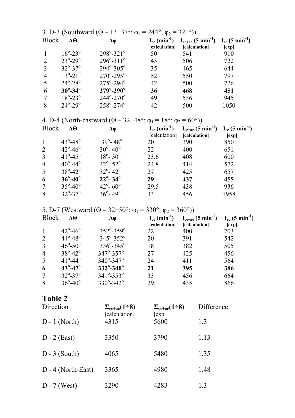| 3. D-3 (Southward $(\Theta - 13\div 37^\circ; \varphi_1 = 244^\circ; \varphi_2 = 321^\circ)$ ) |                           |                             |               |                                                                                                                   |       |
|------------------------------------------------------------------------------------------------|---------------------------|-----------------------------|---------------|-------------------------------------------------------------------------------------------------------------------|-------|
| <b>Block</b>                                                                                   | $\Delta\Theta$            | Δφ                          | [calculation] | $I_{cc}$ (min <sup>-1</sup> ) $I_{cc+ac}$ (5 min <sup>-1</sup> ) $I_{cc}$ (5 min <sup>-1</sup> )<br>[calculation] | [exp] |
|                                                                                                | $16^{\circ} - 23^{\circ}$ | $298^{\circ} - 321^{\circ}$ | 50            | 541                                                                                                               | 910   |
| 2                                                                                              | $23^{\circ} - 29^{\circ}$ | $296^{\circ} - 311^{\circ}$ | 43            | 506                                                                                                               | 722   |
| 3                                                                                              | $32^{\circ} - 37^{\circ}$ | $294^{\circ} - 305^{\circ}$ | 35            | 465                                                                                                               | 644   |
| $\overline{4}$                                                                                 | $13^{\circ} - 21^{\circ}$ | $270^{\circ} - 295^{\circ}$ | 52            | 550                                                                                                               | 797   |
|                                                                                                | $24^{\circ} - 28^{\circ}$ | $275^{\circ} - 294^{\circ}$ | 42            | 500                                                                                                               | 726   |
| 6                                                                                              | $30^{\circ} - 34^{\circ}$ | $279^{\circ} - 290^{\circ}$ | 36            | 468                                                                                                               | 451   |
| 7                                                                                              | $18^{\circ} - 23^{\circ}$ | $244^{\circ} - 270^{\circ}$ | 49            | 536                                                                                                               | 945   |
| 8                                                                                              | $24^{\circ} - 29^{\circ}$ | $258^{\circ} - 274^{\circ}$ | 42            | 500                                                                                                               | 1050  |

4. D-4 (North-eastward  $(\Theta - 32 \div 48^\circ; \varphi_1 = 18^\circ; \varphi_2 = 60^\circ)$ )

| <b>Block</b>    | $\Delta\Theta$            | Δφ                           | [calculation] | $I_{cc}$ (min <sup>-1</sup> ) $I_{cc+ac}$ (5 min <sup>-1</sup> ) $I_{cc}$ (5 min <sup>-1</sup> )<br>[calculation] | [exp] |
|-----------------|---------------------------|------------------------------|---------------|-------------------------------------------------------------------------------------------------------------------|-------|
| $\mathbf{1}$    | $43^{\circ} - 48^{\circ}$ | $39^{\circ} - 48^{\circ}$    | 20            | 390                                                                                                               | 850   |
| 2               | $42^{\circ} - 46^{\circ}$ | $30^{\circ} - 40^{\circ}$    | 22            | 400                                                                                                               | 651   |
| 3               | $41^{\circ} - 45^{\circ}$ | $18^{\circ} - 30^{\circ}$    | 23.6          | 408                                                                                                               | 600   |
| $\overline{4}$  | $40^{\circ} - 44^{\circ}$ | $42^{\circ} - 52^{\circ}$    | 24.8          | 414                                                                                                               | 572   |
| $\overline{5}$  | $38^{\circ} - 42^{\circ}$ | $32^{\circ} - 42^{\circ}$    | 27            | 425                                                                                                               | 657   |
| 6               | $36^{\circ} - 40^{\circ}$ | $22^{\circ}$ - 34 $^{\circ}$ | 29            | 437                                                                                                               | 455   |
| $7\phantom{.0}$ | $35^{\circ} - 40^{\circ}$ | $42^{\circ} - 60^{\circ}$    | 29.5          | 438                                                                                                               | 936   |
| 8               | $32^{\circ} - 37^{\circ}$ | $36^{\circ} - 49^{\circ}$    | 33            | 456                                                                                                               | 1958  |

5. D-7 (Westward  $(\Theta - 32 \div 50^{\circ}; \varphi_1 = 330^{\circ}; \varphi_2 = 360^{\circ})$ )

| <b>Block</b>   | ΔΘ                        | Δφ                          | $I_{cc}$ (min <sup>-1</sup> )<br>[calculation] | $I_{cc+ac}$ (5 min <sup>-1</sup> )<br>[calculation] | $I_{cc}$ (5 min <sup>-1</sup> )<br>[exp] |
|----------------|---------------------------|-----------------------------|------------------------------------------------|-----------------------------------------------------|------------------------------------------|
|                | $42^{\circ} - 46^{\circ}$ | $352^{\circ} - 359^{\circ}$ | 22                                             | 400                                                 | 703                                      |
| 2              | $44^{\circ} - 48^{\circ}$ | $345^{\circ} - 352^{\circ}$ | 20                                             | 391                                                 | 542                                      |
| $\overline{3}$ | $46^{\circ} - 50^{\circ}$ | $336^{\circ} - 345^{\circ}$ | 18                                             | 382                                                 | 505                                      |
| $\overline{4}$ | $38^{\circ} - 42^{\circ}$ | $347^{\circ} - 357^{\circ}$ | 27                                             | 425                                                 | 456                                      |
| $\mathfrak{S}$ | $41^{\circ} - 44^{\circ}$ | $340^{\circ} - 347^{\circ}$ | 24                                             | 411                                                 | 564                                      |
| 6              | $43^{\circ} - 47^{\circ}$ | $332^{\circ} - 340^{\circ}$ | 21                                             | 395                                                 | 386                                      |
| $\tau$         | $32^{\circ} - 37^{\circ}$ | $341^{\circ} - 353^{\circ}$ | 33                                             | 456                                                 | 664                                      |
| 8              | $36^{\circ} - 40^{\circ}$ | $330^{\circ} - 342^{\circ}$ | 29                                             | 435                                                 | 866                                      |

# Table 2

| Direction            | $\Sigma_{\rm c}$ <sub>c</sub> $(1\div 8)$<br>[calculation] | $\Sigma_{\rm cct+ac}(1\div 8)$<br>$\lceil \exp \cdot \rceil$ | Difference |  |
|----------------------|------------------------------------------------------------|--------------------------------------------------------------|------------|--|
| $D - 1$ (North)      | 4315                                                       | 5600                                                         | 1.3        |  |
| $D - 2$ (East)       | 3350                                                       | 3790                                                         | 1.13       |  |
| $D - 3$ (South)      | 4065                                                       | 5480                                                         | 1.35       |  |
| $D - 4$ (North-East) | 3365                                                       | 4980                                                         | 1.48       |  |
| $D - 7$ (West)       | 3290                                                       | 4283                                                         | 1.3        |  |